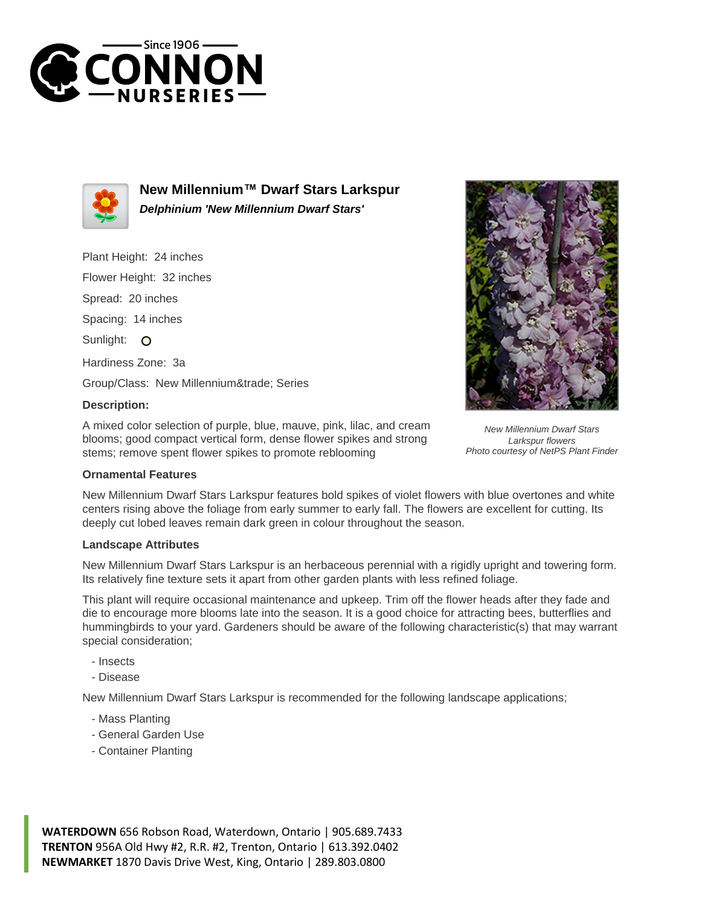



**New Millennium™ Dwarf Stars Larkspur Delphinium 'New Millennium Dwarf Stars'**

Plant Height: 24 inches

Flower Height: 32 inches

Spread: 20 inches

Spacing: 14 inches

Sunlight: O

Hardiness Zone: 3a

Group/Class: New Millennium™ Series

## **Description:**

A mixed color selection of purple, blue, mauve, pink, lilac, and cream blooms; good compact vertical form, dense flower spikes and strong stems; remove spent flower spikes to promote reblooming



New Millennium Dwarf Stars Larkspur features bold spikes of violet flowers with blue overtones and white centers rising above the foliage from early summer to early fall. The flowers are excellent for cutting. Its deeply cut lobed leaves remain dark green in colour throughout the season.

## **Landscape Attributes**

New Millennium Dwarf Stars Larkspur is an herbaceous perennial with a rigidly upright and towering form. Its relatively fine texture sets it apart from other garden plants with less refined foliage.

This plant will require occasional maintenance and upkeep. Trim off the flower heads after they fade and die to encourage more blooms late into the season. It is a good choice for attracting bees, butterflies and hummingbirds to your yard. Gardeners should be aware of the following characteristic(s) that may warrant special consideration;

- Insects

- Disease

New Millennium Dwarf Stars Larkspur is recommended for the following landscape applications;

- Mass Planting
- General Garden Use
- Container Planting

**WATERDOWN** 656 Robson Road, Waterdown, Ontario | 905.689.7433 **TRENTON** 956A Old Hwy #2, R.R. #2, Trenton, Ontario | 613.392.0402 **NEWMARKET** 1870 Davis Drive West, King, Ontario | 289.803.0800



New Millennium Dwarf Stars Larkspur flowers Photo courtesy of NetPS Plant Finder